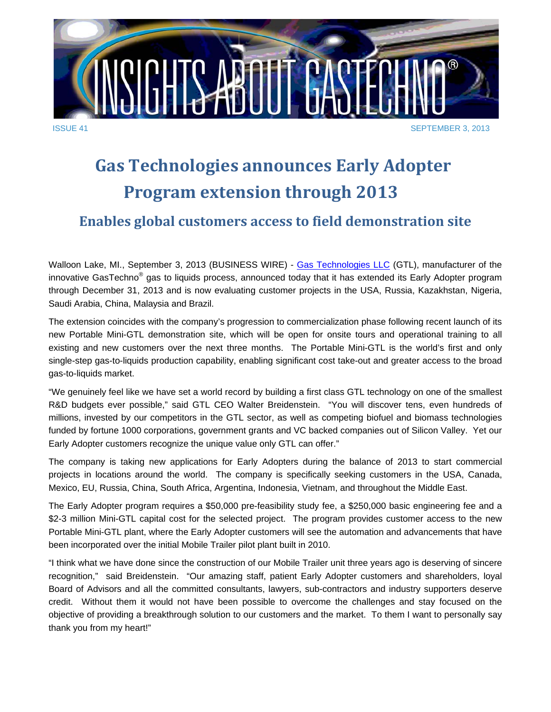

## **Gas Technologies announces Early Adopter Program extension through 2013**

## **Enables global customers access to field demonstration site**

Walloon Lake, MI., September 3, 2013 (BUSINESS WIRE) - Gas Technologies LLC (GTL), manufacturer of the innovative GasTechno<sup>®</sup> gas to liquids process, announced today that it has extended its Early Adopter program through December 31, 2013 and is now evaluating customer projects in the USA, Russia, Kazakhstan, Nigeria, Saudi Arabia, China, Malaysia and Brazil.

The extension coincides with the company's progression to commercialization phase following recent launch of its new Portable Mini-GTL demonstration site, which will be open for onsite tours and operational training to all existing and new customers over the next three months. The Portable Mini-GTL is the world's first and only single-step gas-to-liquids production capability, enabling significant cost take-out and greater access to the broad gas-to-liquids market.

"We genuinely feel like we have set a world record by building a first class GTL technology on one of the smallest R&D budgets ever possible," said GTL CEO Walter Breidenstein. "You will discover tens, even hundreds of millions, invested by our competitors in the GTL sector, as well as competing biofuel and biomass technologies funded by fortune 1000 corporations, government grants and VC backed companies out of Silicon Valley. Yet our Early Adopter customers recognize the unique value only GTL can offer."

The company is taking new applications for Early Adopters during the balance of 2013 to start commercial projects in locations around the world. The company is specifically seeking customers in the USA, Canada, Mexico, EU, Russia, China, South Africa, Argentina, Indonesia, Vietnam, and throughout the Middle East.

The Early Adopter program requires a \$50,000 pre-feasibility study fee, a \$250,000 basic engineering fee and a \$2-3 million Mini-GTL capital cost for the selected project. The program provides customer access to the new Portable Mini-GTL plant, where the Early Adopter customers will see the automation and advancements that have been incorporated over the initial Mobile Trailer pilot plant built in 2010.

"I think what we have done since the construction of our Mobile Trailer unit three years ago is deserving of sincere recognition," said Breidenstein. "Our amazing staff, patient Early Adopter customers and shareholders, loyal Board of Advisors and all the committed consultants, lawyers, sub-contractors and industry supporters deserve credit. Without them it would not have been possible to overcome the challenges and stay focused on the objective of providing a breakthrough solution to our customers and the market. To them I want to personally say thank you from my heart!"